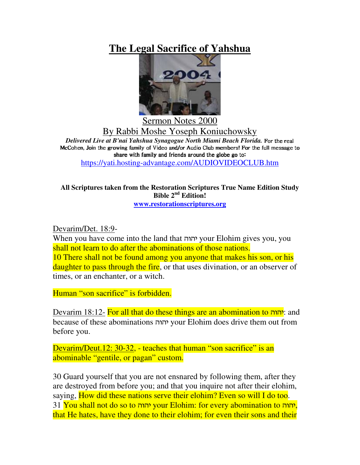# **The Legal Sacrifice of Yahshua**



Sermon Notes 2000 By Rabbi Moshe Yoseph Koniuchowsky *Delivered Live at B'nai Yahshua Synagogue North Miami Beach Florida.* -  McCohen. Join the growing family of Video and/or Audio Club members! For the full message to  $\overline{\phantom{a}1}$  , and the state of the state of the state of the state of the state of the state of the state of the state of the state of the state of the state of the state of the state of the state of the state of the st

https://yati.hosting-advantage.com/AUDIOVIDEOCLUB.htm

#### **All Scriptures taken from the Restoration Scriptures True Name Edition Study Bible 2 nd Edition! www.restorationscriptures.org**

Devarim/Det. 18:9-

When you have come into the land that - your Elohim gives you, you shall not learn to do after the abominations of those nations. 10 There shall not be found among you anyone that makes his son, or his daughter to pass through the fire, or that uses divination, or an observer of times, or an enchanter, or a witch.

Human "son sacrifice" is forbidden.

<u>Devarim 18:12-</u> For all that do these things are an abomination to יהוה? because of these abominations - your Elohim does drive them out from before you.

Devarim/Deut.12: 30-32, - teaches that human "son sacrifice" is an abominable "gentile, or pagan" custom.

30 Guard yourself that you are not ensnared by following them, after they are destroyed from before you; and that you inquire not after their elohim, saying, How did these nations serve their elohim? Even so will I do too. 31 <mark>You shall not do so to יהוה your Elohim: for every abomination to יהוה</mark>, that He hates, have they done to their elohim; for even their sons and their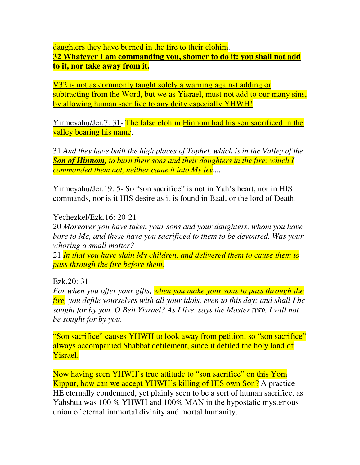daughters they have burned in the fire to their elohim. **32 Whatever I am commanding you, shomer to do it: you shall not add**

# **to it, nor take away from it.**

V32 is not as commonly taught solely a warning against adding or subtracting from the Word, but we as Yisrael, must not add to our many sins, by allowing human sacrifice to any deity especially YHWH!

Yirmeyahu/Jer.7: 31- The false elohim Hinnom had his son sacrificed in the valley bearing his name.

31 *And they have built the high places of Tophet, which is in the Valley of the Son of Hinnom, to burn their sons and their daughters in the fire; which I commanded them not, neither came it into My lev....*

Yirmeyahu/Jer.19: 5- So "son sacrifice" is not in Yah's heart, nor in HIS commands, nor is it HIS desire as it is found in Baal, or the lord of Death.

### Yechezkel/Ezk.16: 20-21-

20 *Moreover you have taken your sons and your daughters, whom you have bore to Me, and these have you sacrificed to them to be devoured. Was your whoring a small matter?*

21 *In that you have slain My children, and delivered them to cause them to pass through the fire before them.*

## Ezk.20: 31-

*For when you offer your gifts, when you make your sons to pass through the fire, you defile yourselves with all your idols, even to this day: and shall I be sought for by you, O Beit Yisrael? As I live, says the Master* -*, I will not be sought for by you.*

"Son sacrifice" causes YHWH to look away from petition, so "son sacrifice" always accompanied Shabbat defilement, since it defiled the holy land of Yisrael.

Now having seen YHWH's true attitude to "son sacrifice" on this Yom Kippur, how can we accept YHWH's killing of HIS own Son? A practice HE eternally condemned, yet plainly seen to be a sort of human sacrifice, as Yahshua was 100 % YHWH and 100% MAN in the hypostatic mysterious union of eternal immortal divinity and mortal humanity.